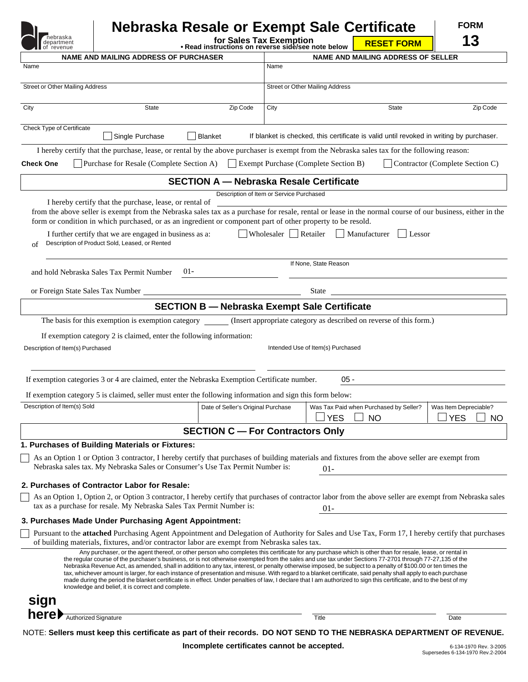| nebraska<br>department<br>of revenue |                                                                                                                                                                                                                                                                                                                                                                                                                                                                                                                                                                                                                                                                                                                                                                                                                                                                                                                                                                                   | for Sales Tax Exemption<br>. Read instructions on reverse side/see note below |                                        | Nebraska Resale or Exempt Sale Certificate | <b>RESET FORM</b>                                                   | <b>FORM</b><br>13                                                                                   |
|--------------------------------------|-----------------------------------------------------------------------------------------------------------------------------------------------------------------------------------------------------------------------------------------------------------------------------------------------------------------------------------------------------------------------------------------------------------------------------------------------------------------------------------------------------------------------------------------------------------------------------------------------------------------------------------------------------------------------------------------------------------------------------------------------------------------------------------------------------------------------------------------------------------------------------------------------------------------------------------------------------------------------------------|-------------------------------------------------------------------------------|----------------------------------------|--------------------------------------------|---------------------------------------------------------------------|-----------------------------------------------------------------------------------------------------|
|                                      | <b>NAME AND MAILING ADDRESS OF PURCHASER</b>                                                                                                                                                                                                                                                                                                                                                                                                                                                                                                                                                                                                                                                                                                                                                                                                                                                                                                                                      |                                                                               |                                        |                                            | <b>NAME AND MAILING ADDRESS OF SELLER</b>                           |                                                                                                     |
| Name                                 |                                                                                                                                                                                                                                                                                                                                                                                                                                                                                                                                                                                                                                                                                                                                                                                                                                                                                                                                                                                   |                                                                               | Name                                   |                                            |                                                                     |                                                                                                     |
| Street or Other Mailing Address      |                                                                                                                                                                                                                                                                                                                                                                                                                                                                                                                                                                                                                                                                                                                                                                                                                                                                                                                                                                                   |                                                                               | <b>Street or Other Mailing Address</b> |                                            |                                                                     |                                                                                                     |
| City                                 | State                                                                                                                                                                                                                                                                                                                                                                                                                                                                                                                                                                                                                                                                                                                                                                                                                                                                                                                                                                             | Zip Code                                                                      | City                                   |                                            | <b>State</b>                                                        | Zip Code                                                                                            |
| Check Type of Certificate            | Single Purchase                                                                                                                                                                                                                                                                                                                                                                                                                                                                                                                                                                                                                                                                                                                                                                                                                                                                                                                                                                   | <b>Blanket</b>                                                                |                                        |                                            |                                                                     | If blanket is checked, this certificate is valid until revoked in writing by purchaser.             |
|                                      | I hereby certify that the purchase, lease, or rental by the above purchaser is exempt from the Nebraska sales tax for the following reason:                                                                                                                                                                                                                                                                                                                                                                                                                                                                                                                                                                                                                                                                                                                                                                                                                                       |                                                                               |                                        |                                            |                                                                     |                                                                                                     |
| <b>Check One</b>                     | Purchase for Resale (Complete Section A) Exempt Purchase (Complete Section B)                                                                                                                                                                                                                                                                                                                                                                                                                                                                                                                                                                                                                                                                                                                                                                                                                                                                                                     |                                                                               |                                        |                                            |                                                                     | Contractor (Complete Section C)                                                                     |
|                                      |                                                                                                                                                                                                                                                                                                                                                                                                                                                                                                                                                                                                                                                                                                                                                                                                                                                                                                                                                                                   | <b>SECTION A - Nebraska Resale Certificate</b>                                |                                        |                                            |                                                                     |                                                                                                     |
| of                                   | I hereby certify that the purchase, lease, or rental of<br>from the above seller is exempt from the Nebraska sales tax as a purchase for resale, rental or lease in the normal course of our business, either in the<br>form or condition in which purchased, or as an ingredient or component part of other property to be resold.<br>I further certify that we are engaged in business as a:<br>Description of Product Sold, Leased, or Rented                                                                                                                                                                                                                                                                                                                                                                                                                                                                                                                                  | Description of Item or Service Purchased                                      |                                        | Wholesaler Retailer Manufacturer           | $ $ Lessor                                                          |                                                                                                     |
|                                      | $01 -$                                                                                                                                                                                                                                                                                                                                                                                                                                                                                                                                                                                                                                                                                                                                                                                                                                                                                                                                                                            |                                                                               |                                        | If None, State Reason                      |                                                                     |                                                                                                     |
|                                      | and hold Nebraska Sales Tax Permit Number<br>or Foreign State Sales Tax Number                                                                                                                                                                                                                                                                                                                                                                                                                                                                                                                                                                                                                                                                                                                                                                                                                                                                                                    |                                                                               |                                        | <b>State</b>                               |                                                                     |                                                                                                     |
|                                      |                                                                                                                                                                                                                                                                                                                                                                                                                                                                                                                                                                                                                                                                                                                                                                                                                                                                                                                                                                                   |                                                                               |                                        |                                            |                                                                     |                                                                                                     |
|                                      |                                                                                                                                                                                                                                                                                                                                                                                                                                                                                                                                                                                                                                                                                                                                                                                                                                                                                                                                                                                   | <b>SECTION B - Nebraska Exempt Sale Certificate</b>                           |                                        |                                            |                                                                     |                                                                                                     |
|                                      | The basis for this exemption is exemption category                                                                                                                                                                                                                                                                                                                                                                                                                                                                                                                                                                                                                                                                                                                                                                                                                                                                                                                                |                                                                               |                                        |                                            | (Insert appropriate category as described on reverse of this form.) |                                                                                                     |
| Description of Item(s) Purchased     | If exemption category 2 is claimed, enter the following information:                                                                                                                                                                                                                                                                                                                                                                                                                                                                                                                                                                                                                                                                                                                                                                                                                                                                                                              |                                                                               |                                        | Intended Use of Item(s) Purchased          |                                                                     |                                                                                                     |
|                                      | If exemption categories 3 or 4 are claimed, enter the Nebraska Exemption Certificate number.                                                                                                                                                                                                                                                                                                                                                                                                                                                                                                                                                                                                                                                                                                                                                                                                                                                                                      |                                                                               |                                        | $05 -$                                     |                                                                     |                                                                                                     |
|                                      |                                                                                                                                                                                                                                                                                                                                                                                                                                                                                                                                                                                                                                                                                                                                                                                                                                                                                                                                                                                   |                                                                               |                                        |                                            |                                                                     |                                                                                                     |
|                                      |                                                                                                                                                                                                                                                                                                                                                                                                                                                                                                                                                                                                                                                                                                                                                                                                                                                                                                                                                                                   |                                                                               |                                        |                                            |                                                                     |                                                                                                     |
| Description of Item(s) Sold          | If exemption category 5 is claimed, seller must enter the following information and sign this form below:                                                                                                                                                                                                                                                                                                                                                                                                                                                                                                                                                                                                                                                                                                                                                                                                                                                                         |                                                                               |                                        | <b>YES</b>                                 |                                                                     | Date of Seller's Original Purchase   Was Tax Paid when Purchased by Seller?   Was Item Depreciable? |
|                                      |                                                                                                                                                                                                                                                                                                                                                                                                                                                                                                                                                                                                                                                                                                                                                                                                                                                                                                                                                                                   | <b>SECTION C - For Contractors Only</b>                                       |                                        |                                            | <b>NO</b>                                                           | <b>YES</b><br>NO                                                                                    |
|                                      | 1. Purchases of Building Materials or Fixtures:                                                                                                                                                                                                                                                                                                                                                                                                                                                                                                                                                                                                                                                                                                                                                                                                                                                                                                                                   |                                                                               |                                        |                                            |                                                                     |                                                                                                     |
|                                      | As an Option 1 or Option 3 contractor, I hereby certify that purchases of building materials and fixtures from the above seller are exempt from<br>Nebraska sales tax. My Nebraska Sales or Consumer's Use Tax Permit Number is:                                                                                                                                                                                                                                                                                                                                                                                                                                                                                                                                                                                                                                                                                                                                                  |                                                                               |                                        | $01-$                                      |                                                                     |                                                                                                     |
|                                      | 2. Purchases of Contractor Labor for Resale:                                                                                                                                                                                                                                                                                                                                                                                                                                                                                                                                                                                                                                                                                                                                                                                                                                                                                                                                      |                                                                               |                                        |                                            |                                                                     |                                                                                                     |
|                                      | As an Option 1, Option 2, or Option 3 contractor, I hereby certify that purchases of contractor labor from the above seller are exempt from Nebraska sales<br>tax as a purchase for resale. My Nebraska Sales Tax Permit Number is:                                                                                                                                                                                                                                                                                                                                                                                                                                                                                                                                                                                                                                                                                                                                               |                                                                               |                                        |                                            |                                                                     |                                                                                                     |
|                                      | 3. Purchases Made Under Purchasing Agent Appointment:<br>Pursuant to the attached Purchasing Agent Appointment and Delegation of Authority for Sales and Use Tax, Form 17, I hereby certify that purchases                                                                                                                                                                                                                                                                                                                                                                                                                                                                                                                                                                                                                                                                                                                                                                        |                                                                               |                                        | $01 -$                                     |                                                                     |                                                                                                     |
|                                      | of building materials, fixtures, and/or contractor labor are exempt from Nebraska sales tax.<br>Any purchaser, or the agent thereof, or other person who completes this certificate for any purchase which is other than for resale, lease, or rental in<br>the regular course of the purchaser's business, or is not otherwise exempted from the sales and use tax under Sections 77-2701 through 77-27,135 of the<br>Nebraska Revenue Act, as amended, shall in addition to any tax, interest, or penalty otherwise imposed, be subject to a penalty of \$100.00 or ten times the<br>tax, whichever amount is larger, for each instance of presentation and misuse. With regard to a blanket certificate, said penalty shall apply to each purchase<br>made during the period the blanket certificate is in effect. Under penalties of law, I declare that I am authorized to sign this certificate, and to the best of my<br>knowledge and belief, it is correct and complete. |                                                                               |                                        |                                            |                                                                     |                                                                                                     |
| sign<br>here Muthorized Signature    |                                                                                                                                                                                                                                                                                                                                                                                                                                                                                                                                                                                                                                                                                                                                                                                                                                                                                                                                                                                   |                                                                               |                                        | <b>Title</b>                               |                                                                     | Date                                                                                                |

**Incomplete certificates cannot be accepted.**